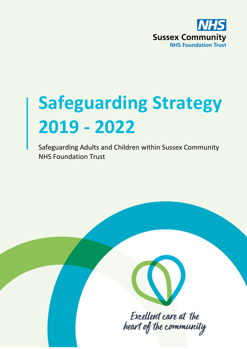

# **Safeguarding Strategy 2019 - 2022**

Safeguarding Adults and Children within Sussex Community NHS Foundation Trust



Excellent care at the heart of the community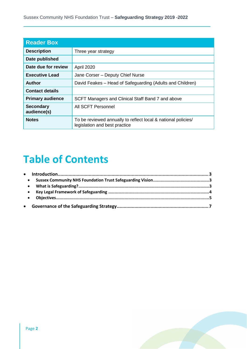| <b>Reader Box</b>               |                                                                                                |  |
|---------------------------------|------------------------------------------------------------------------------------------------|--|
| <b>Description</b>              | Three year strategy                                                                            |  |
| Date published                  |                                                                                                |  |
| Date due for review             | April 2020                                                                                     |  |
| <b>Executive Lead</b>           | Jane Corser - Deputy Chief Nurse                                                               |  |
| <b>Author</b>                   | David Feakes - Head of Safeguarding (Adults and Children)                                      |  |
| <b>Contact details</b>          |                                                                                                |  |
| <b>Primary audience</b>         | SCFT Managers and Clinical Staff Band 7 and above                                              |  |
| <b>Secondary</b><br>audience(s) | All SCFT Personnel                                                                             |  |
| <b>Notes</b>                    | To be reviewed annually to reflect local & national policies/<br>legislation and best practice |  |

# **Table of Contents**

| $\bullet$ |  |
|-----------|--|
| $\bullet$ |  |
| $\bullet$ |  |
|           |  |
|           |  |

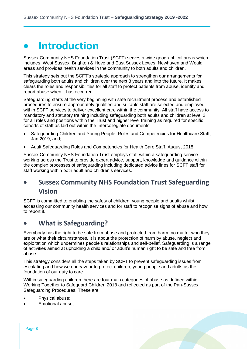# **Introduction**

Sussex Community NHS Foundation Trust (SCFT) serves a wide geographical areas which includes, West Sussex, Brighton & Hove and East Sussex Lewes, Newhaven and Weald areas and provides health services in the community to both adults and children.

This strategy sets out the SCFT's strategic approach to strengthen our arrangements for safeguarding both adults and children over the next 3 years and into the future. It makes clears the roles and responsibilities for all staff to protect patients from abuse, identify and report abuse when it has occurred.

Safeguarding starts at the very beginning with safe recruitment process and established procedures to ensure appropriately qualified and suitable staff are selected and employed within SCFT services to deliver excellent care within the community. All staff have access to mandatory and statutory training including safeguarding both adults and children at level 2 for all roles and positions within the Trust and higher level training as required for specific cohorts of staff as laid out within the Intercollegiate documents:-

- [Safeguarding Children and Young People: Roles and Competencies for Healthcare Staff,](https://www.rcn.org.uk/-/media/royal-college-of-nursing/documents/publications/2019/january/007-366.pdf) Jan 2019, and;
- Adult Safeguarding Roles and Competencies for Health Care Staff, August 2018

Sussex Community NHS Foundation Trust employs staff within a safeguarding service working across the Trust to provide expert advice, support, knowledge and guidance within the complex processes of safeguarding including dedicated advice lines for SCFT staff for staff working within both adult and children's services.

## **Sussex Community NHS Foundation Trust Safeguarding Vision**

SCFT is committed to enabling the safety of children, young people and adults whilst accessing our community health services and for staff to recognise signs of abuse and how to report it.

### **What is Safeguarding?**

Everybody has the right to be safe from abuse and protected from harm, no matter who they are or what their circumstances. It is about the protection of harm by abuse, neglect and exploitation which undermines people's relationships and self-belief. Safeguarding is a range of activities aimed at upholding a child and/ or adult's human right to be safe and free from abuse.

This strategy considers all the steps taken by SCFT to prevent safeguarding issues from escalating and how we endeavour to protect children, young people and adults as the foundation of our duty to care.

Within safeguarding children there are four main categories of abuse as defined within Working Together to Safeguard Children 2018 and reflected as part of the Pan-Sussex Safeguarding Procedures. These are;

- Physical abuse;
- Emotional abuse;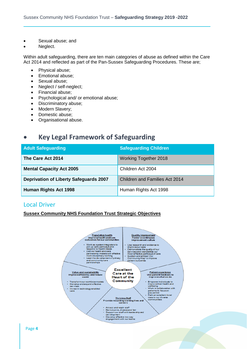- Sexual abuse; and
- Neglect.

Within adult safeguarding, there are ten main categories of abuse as defined within the Care Act 2014 and reflected as part of the Pan-Sussex Safeguarding Procedures. These are;

- Physical abuse;
- Emotional abuse;
- Sexual abuse;
- Neglect / self-neglect;
- Financial abuse;
- Psychological and/ or emotional abuse;
- Discriminatory abuse;
- Modern Slavery;
- Domestic abuse;
- Organisational abuse.

### **Key Legal Framework of Safeguarding**

| <b>Adult Safeguarding</b>                     | <b>Safeguarding Children</b>   |
|-----------------------------------------------|--------------------------------|
| The Care Act 2014                             | <b>Working Together 2018</b>   |
| <b>Mental Capacity Act 2005</b>               | Children Act 2004              |
| <b>Deprivation of Liberty Safeguards 2007</b> | Children and Families Act 2014 |
| Human Rights Act 1998                         | Human Rights Act 1998          |

#### Local Driver

#### **Sussex Community NHS Foundation Trust Strategic Objectives**

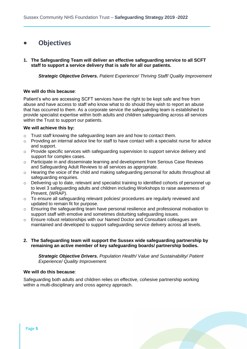### **Objectives**

**1. The Safeguarding Team will deliver an effective safeguarding service to all SCFT staff to support a service delivery that is safe for all our patients.** 

*Strategic Objective Drivers. Patient Experience/ Thriving Staff/ Quality Improvement*

#### **We will do this because**:

Patient's who are accessing SCFT services have the right to be kept safe and free from abuse and have access to staff who know what to do should they wish to report an abuse that has occurred to them. As a corporate service the safeguarding team is established to provide specialist expertise within both adults and children safeguarding across all services within the Trust to support our patients.

#### **We will achieve this by:**

- o Trust staff knowing the safeguarding team are and how to contact them.
- $\circ$  Providing an internal advice line for staff to have contact with a specialist nurse for advice and support.
- $\circ$  Provide specific services with safeguarding supervision to support service delivery and support for complex cases.
- o Participate in and disseminate learning and development from Serious Case Reviews and Safeguarding Adult Reviews to all services as appropriate.
- $\circ$  Hearing the voice of the child and making safeguarding personal for adults throughout all safeguarding enquiries.
- $\circ$  Delivering up to date, relevant and specialist training to identified cohorts of personnel up to level 3 safeguarding adults and children including Workshops to raise awareness of Prevent, (WRAP).
- $\circ$  To ensure all safeguarding relevant policies/ procedures are regularly reviewed and updated to remain fit for purpose.
- o Ensuring the safeguarding team have personal resilience and professional motivation to support staff with emotive and sometimes disturbing safeguarding issues.
- o Ensure robust relationships with our Named Doctor and Consultant colleagues are maintained and developed to support safeguarding service delivery across all levels.
- **2. The Safeguarding team will support the Sussex wide safeguarding partnership by remaining an active member of key safeguarding boards/ partnership bodies.**

*Strategic Objective Drivers. Population Health/ Value and Sustainability/ Patient Experience/ Quality Improvement.*

#### **We will do this because**:

Safeguarding both adults and children relies on effective, cohesive partnership working within a multi-disciplinary and cross agency approach.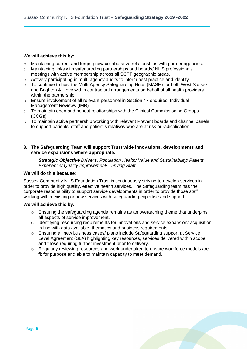#### **We will achieve this by:**

- $\circ$  Maintaining current and forging new collaborative relationships with partner agencies.
- o Maintaining links with safeguarding partnerships and boards/ NHS professionals meetings with active membership across all SCFT geographic areas.
- o Actively participating in multi-agency audits to inform best practice and identify
- $\circ$  To continue to host the Multi-Agency Safeguarding Hubs (MASH) for both West Sussex and Brighton & Hove within contractual arrangements on behalf of all health providers within the partnership.
- o Ensure involvement of all relevant personnel in Section 47 enquires, Individual Management Reviews (IMR)
- o To maintain open and honest relationships with the Clinical Commissioning Groups (CCGs).
- o To maintain active partnership working with relevant Prevent boards and channel panels to support patients, staff and patient's relatives who are at risk or radicalisation.
- **3. The Safeguarding Team will support Trust wide innovations, developments and service expansions where appropriate.**

*Strategic Objective Drivers. Population Health/ Value and Sustainability/ Patient Experience/ Quality Improvement/ Thriving Staff*

#### **We will do this because**:

Sussex Community NHS Foundation Trust is continuously striving to develop services in order to provide high quality, effective health services. The Safeguarding team has the corporate responsibility to support service developments in order to provide those staff working within existing or new services with safeguarding expertise and support.

#### **We will achieve this by:**

- $\circ$  Ensuring the safeguarding agenda remains as an overarching theme that underpins all aspects of service improvement.
- o Identifying resourcing requirements for innovations and service expansion/ acquisition in line with data available, thematics and business requirements.
- o Ensuring all new business cases/ plans include Safeguarding support at Service Level Agreement (SLA) highlighting key resources, services delivered within scope and those requiring further investment prior to delivery.
- o Regularly reviewing resources and work undertaken to ensure workforce models are fit for purpose and able to maintain capacity to meet demand.